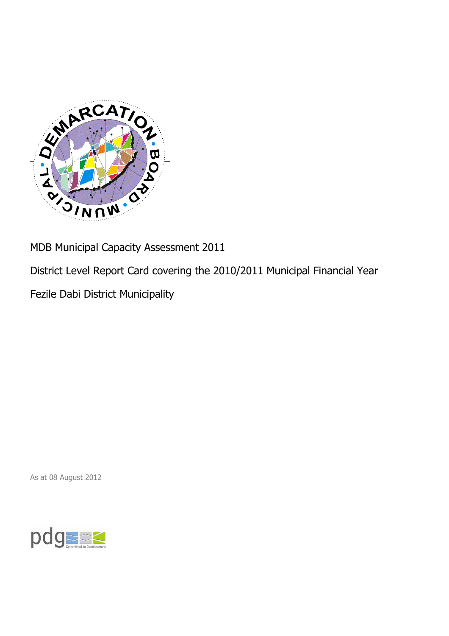

MDB Municipal Capacity Assessment 2011

District Level Report Card covering the 2010/2011 Municipal Financial Year

Fezile Dabi District Municipality

As at 08 August 2012

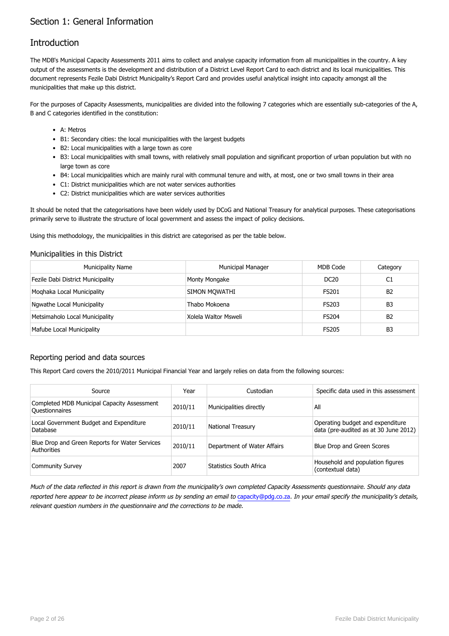## Section 1: General Information

## Introduction

The MDB's Municipal Capacity Assessments 2011 aims to collect and analyse capacity information from all municipalities in the country. A key output of the assessments is the development and distribution of a District Level Report Card to each district and its local municipalities. This document represents Fezile Dabi District Municipality's Report Card and provides useful analytical insight into capacity amongst all the municipalities that make up this district.

For the purposes of Capacity Assessments, municipalities are divided into the following 7 categories which are essentially sub-categories of the A, B and C categories identified in the constitution:

- A: Metros
- B1: Secondary cities: the local municipalities with the largest budgets
- B2: Local municipalities with a large town as core
- B3: Local municipalities with small towns, with relatively small population and significant proportion of urban population but with no large town as core
- B4: Local municipalities which are mainly rural with communal tenure and with, at most, one or two small towns in their area
- C1: District municipalities which are not water services authorities
- C2: District municipalities which are water services authorities

It should be noted that the categorisations have been widely used by DCoG and National Treasury for analytical purposes. These categorisations primarily serve to illustrate the structure of local government and assess the impact of policy decisions.

Using this methodology, the municipalities in this district are categorised as per the table below.

#### Municipalities in this District

| <b>Municipality Name</b>          | <b>Municipal Manager</b> | MDB Code         | Category       |
|-----------------------------------|--------------------------|------------------|----------------|
| Fezile Dabi District Municipality | Monty Mongake            | DC <sub>20</sub> | C1             |
| Moghaka Local Municipality        | SIMON MOWATHI            | FS201            | B <sub>2</sub> |
| Ngwathe Local Municipality        | Thabo Mokoena            | <b>FS203</b>     | B <sub>3</sub> |
| Metsimaholo Local Municipality    | Xolela Waltor Msweli     | <b>FS204</b>     | B <sub>2</sub> |
| Mafube Local Municipality         |                          | <b>FS205</b>     | B <sub>3</sub> |

### Reporting period and data sources

This Report Card covers the 2010/2011 Municipal Financial Year and largely relies on data from the following sources:

| Source                                                               | Year    | Custodian                   | Specific data used in this assessment                                     |
|----------------------------------------------------------------------|---------|-----------------------------|---------------------------------------------------------------------------|
| Completed MDB Municipal Capacity Assessment<br><b>Ouestionnaires</b> | 2010/11 | Municipalities directly     | All                                                                       |
| Local Government Budget and Expenditure<br>Database                  | 2010/11 | <b>National Treasury</b>    | Operating budget and expenditure<br>data (pre-audited as at 30 June 2012) |
| Blue Drop and Green Reports for Water Services<br>Authorities        | 2010/11 | Department of Water Affairs | Blue Drop and Green Scores                                                |
| <b>Community Survey</b>                                              | 2007    | Statistics South Africa     | Household and population figures<br>(contextual data)                     |

Much of the data reflected in this report is drawn from the municipality's own completed Capacity Assessments questionnaire. Should any data reported here appear to be incorrect please inform us by sending an email to [capacity@pdg.co.za](mailto:capacity@pdg.co.za). In your email specify the municipality's details, relevant question numbers in the questionnaire and the corrections to be made.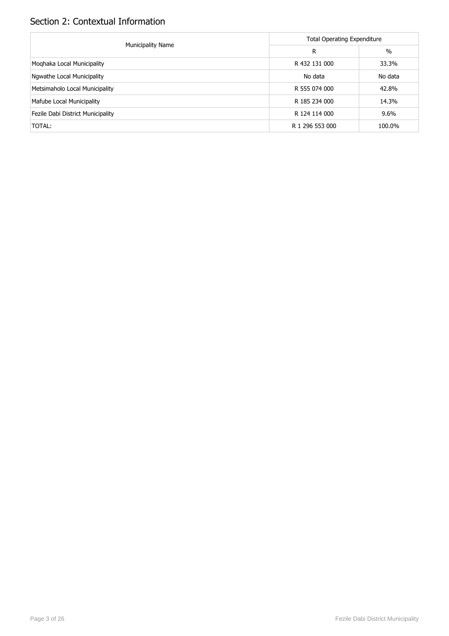# Section 2: Contextual Information

|                                   | <b>Total Operating Expenditure</b> |         |  |  |
|-----------------------------------|------------------------------------|---------|--|--|
| <b>Municipality Name</b>          | R                                  | %       |  |  |
| Moghaka Local Municipality        | R 432 131 000                      | 33.3%   |  |  |
| Ngwathe Local Municipality        | No data                            | No data |  |  |
| Metsimaholo Local Municipality    | R 555 074 000                      | 42.8%   |  |  |
| Mafube Local Municipality         | R 185 234 000                      | 14.3%   |  |  |
| Fezile Dabi District Municipality | R 124 114 000                      | 9.6%    |  |  |
| TOTAL:                            | R 1 296 553 000                    | 100.0%  |  |  |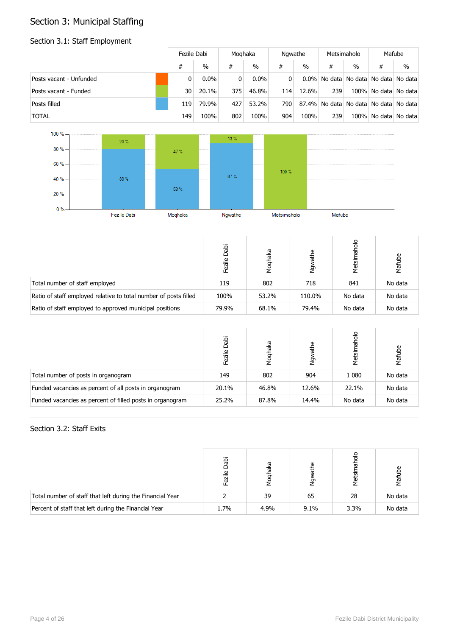# Section 3: Municipal Staffing

## Section 3.1: Staff Employment

|                         |     | Fezile Dabi |          | Moghaka       |     | Ngwathe |     | Metsimaholo   |   | Mafube                                |
|-------------------------|-----|-------------|----------|---------------|-----|---------|-----|---------------|---|---------------------------------------|
|                         | #   | $\%$        | #        | $\frac{0}{0}$ | #   | $\%$    | #   | $\frac{0}{0}$ | # | $\%$                                  |
| Posts vacant - Unfunded |     | $0.0\%$     | $\Omega$ | $0.0\%$       | 0   |         |     |               |   | 0.0% No data No data No data No data  |
| Posts vacant - Funded   | 30  | 20.1%       | 375      | 46.8%         | 114 | 12.6%   | 239 |               |   | 100% No data No data                  |
| Posts filled            | 119 | 79.9%       | 427      | 53.2%         | 790 |         |     |               |   | 87.4% No data No data No data No data |
| <b>TOTAL</b>            | 149 | 100%        | 802      | 100%          | 904 | 100%    | 239 |               |   | 100% No data No data                  |



|                                                                  | Dabi<br>Fezile | Moqhaka | مِ<br>节<br>ι<br>Σ | oloder<br>Metsin | Mafube  |
|------------------------------------------------------------------|----------------|---------|-------------------|------------------|---------|
| Total number of staff employed                                   | 119            | 802     | 718               | 841              | No data |
| Ratio of staff employed relative to total number of posts filled | 100%           | 53.2%   | 110.0%            | No data          | No data |
| Ratio of staff employed to approved municipal positions          | 79.9%          | 68.1%   | 79.4%             | No data          | No data |

|                                                           | Dabi<br>Fezile | haka  | athe<br>δ× | ত<br>Metsir | Mafube  |
|-----------------------------------------------------------|----------------|-------|------------|-------------|---------|
| Total number of posts in organogram                       | 149            | 802   | 904        | 1 0 8 0     | No data |
| Funded vacancies as percent of all posts in organogram    | 20.1%          | 46.8% | 12.6%      | 22.1%       | No data |
| Funded vacancies as percent of filled posts in organogram | 25.2%          | 87.8% | 14.4%      | No data     | No data |

### Section 3.2: Staff Exits

|                                                           | jak  | aka  | G)<br>ሥ |      | 卮       |
|-----------------------------------------------------------|------|------|---------|------|---------|
| Total number of staff that left during the Financial Year |      | 39   | 65      | 28   | No data |
| Percent of staff that left during the Financial Year      | 1.7% | 4.9% | $9.1\%$ | 3.3% | No data |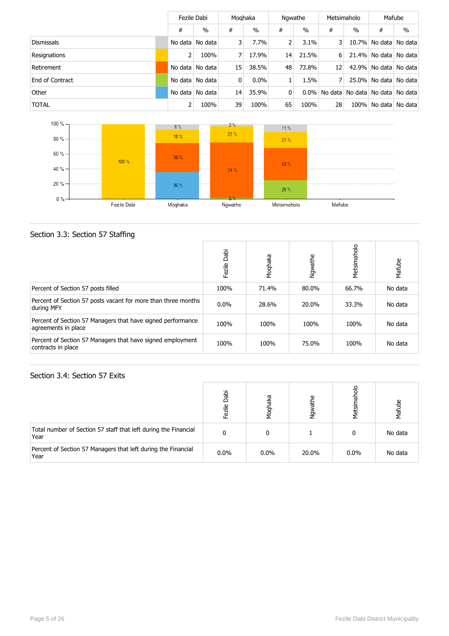|                   |         | Fezile Dabi       |                | Moghaka       |    | Ngwathe |         | Metsimaholo   |              | Mafube                      |  |
|-------------------|---------|-------------------|----------------|---------------|----|---------|---------|---------------|--------------|-----------------------------|--|
|                   | #       | $\frac{0}{0}$     | #              | $\frac{0}{0}$ | #  | $\%$    | #       | $\frac{0}{0}$ | #            | $\%$                        |  |
| <b>Dismissals</b> |         | No data No data   | $\overline{3}$ | 7.7%          |    | 3.1%    |         |               |              | 10.7% No data No data       |  |
| Resignations      |         | 100%              | 7              | 17.9%         | 14 | 21.5%   | 6       |               |              | 21.4% No data No data       |  |
| Retirement        |         | No data   No data | 15             | 38.5%         | 48 | 73.8%   | 12      |               |              | 42.9% No data No data       |  |
| End of Contract   |         | No data No data   | 0              | $0.0\%$       |    | 1.5%    |         |               |              | 25.0% No data No data       |  |
| Other             | No data | No data           | 14             | 35.9%         | 0  | $0.0\%$ | No data |               |              | No data   No data   No data |  |
| <b>TOTAL</b>      |         | 100%              | 39             | 100%          | 65 | 100%    | 28      |               | 100% No data | No data                     |  |



## Section 3.3: Section 57 Staffing

|                                                                                    | Dabi<br>Fezile | Moqhaka | Ngwathe | Metsimaholo | Mafube  |
|------------------------------------------------------------------------------------|----------------|---------|---------|-------------|---------|
| Percent of Section 57 posts filled                                                 | 100%           | 71.4%   | 80.0%   | 66.7%       | No data |
| Percent of Section 57 posts vacant for more than three months<br>during MFY        | $0.0\%$        | 28.6%   | 20.0%   | 33.3%       | No data |
| Percent of Section 57 Managers that have signed performance<br>agreements in place | 100%           | 100%    | 100%    | 100%        | No data |
| Percent of Section 57 Managers that have signed employment<br>contracts in place   | 100%           | 100%    | 75.0%   | 100%        | No data |

### Section 3.4: Section 57 Exits

|                                                                         | Dabi<br>Fezile | eye<br>Moq | athe<br>λğ | 응<br>Metsi | Mafube  |
|-------------------------------------------------------------------------|----------------|------------|------------|------------|---------|
| Total number of Section 57 staff that left during the Financial<br>Year |                |            |            | 0          | No data |
| Percent of Section 57 Managers that left during the Financial<br>Year   | $0.0\%$        | $0.0\%$    | 20.0%      | 0.0%       | No data |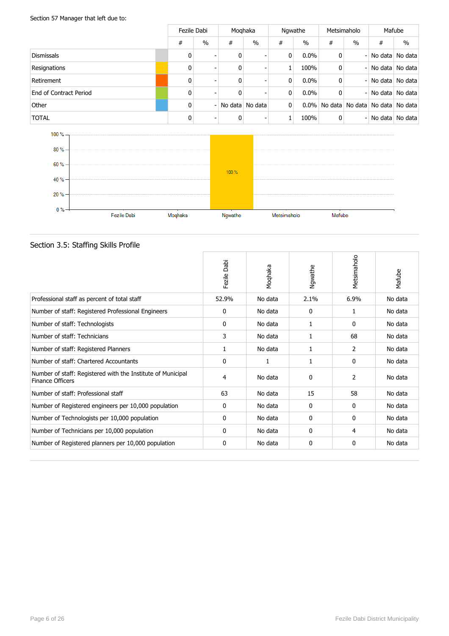### Section 57 Manager that left due to:

|                        |              | Fezile Dabi              |   | Moghaka         |                | Ngwathe       |   | Metsimaholo                           |   | Mafube          |
|------------------------|--------------|--------------------------|---|-----------------|----------------|---------------|---|---------------------------------------|---|-----------------|
|                        | #            | $\frac{0}{0}$            | # | $\frac{0}{0}$   | #              | $\frac{0}{0}$ | # | $\frac{0}{0}$                         | # | $\frac{0}{0}$   |
| <b>Dismissals</b>      | $\mathbf{0}$ |                          | 0 |                 | 0              | 0.0%          | 0 | $\overline{\phantom{0}}$              |   | No data No data |
| Resignations           | 0            |                          | 0 |                 |                | 100%          | 0 | Ξ.                                    |   | No data No data |
| Retirement             | 0            |                          | 0 |                 | 0              | $0.0\%$       | 0 | Ξ.                                    |   | No data No data |
| End of Contract Period | 0            |                          | 0 |                 | 0              | 0.0%          | 0 | Ξ.                                    |   | No data No data |
| Other                  | 0            | $\overline{\phantom{0}}$ |   | No data No data | $\overline{0}$ | $0.0\%$       |   | No data   No data   No data   No data |   |                 |
| <b>TOTAL</b>           | 0            | -                        | 0 |                 |                | 100%          | 0 | Ξ.                                    |   | No data No data |



## Section 3.5: Staffing Skills Profile

|                                                                                        | Dabi<br>Fezile | Moqhaka | Ngwathe | Metsimaholo | Mafube  |
|----------------------------------------------------------------------------------------|----------------|---------|---------|-------------|---------|
| Professional staff as percent of total staff                                           | 52.9%          | No data | 2.1%    | 6.9%        | No data |
| Number of staff: Registered Professional Engineers                                     | $\mathbf{0}$   | No data | 0       | 1           | No data |
| Number of staff: Technologists                                                         | $\mathbf{0}$   | No data | 1       | 0           | No data |
| Number of staff: Technicians                                                           | 3              | No data | 1       | 68          | No data |
| Number of staff: Registered Planners                                                   | 1              | No data | 1       | 2           | No data |
| Number of staff: Chartered Accountants                                                 | $\mathbf{0}$   | 1       | 1       | 0           | No data |
| Number of staff: Registered with the Institute of Municipal<br><b>Finance Officers</b> | 4              | No data | 0       | 2           | No data |
| Number of staff: Professional staff                                                    | 63             | No data | 15      | 58          | No data |
| Number of Registered engineers per 10,000 population                                   | $\mathbf{0}$   | No data | 0       | 0           | No data |
| Number of Technologists per 10,000 population                                          | 0              | No data | 0       | 0           | No data |
| Number of Technicians per 10,000 population                                            | $\mathbf{0}$   | No data | 0       | 4           | No data |
| Number of Registered planners per 10,000 population                                    | $\mathbf{0}$   | No data | 0       | 0           | No data |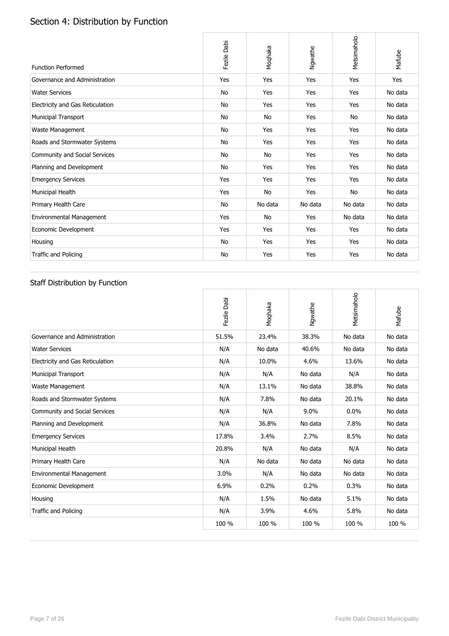# Section 4: Distribution by Function

| <b>Function Performed</b>        | Fezile Dabi | Moqhaka   | Ngwathe | Metsimaholo | Mafube  |
|----------------------------------|-------------|-----------|---------|-------------|---------|
| Governance and Administration    | Yes         | Yes       | Yes     | Yes         | Yes     |
| <b>Water Services</b>            | No          | Yes       | Yes     | Yes         | No data |
| Electricity and Gas Reticulation | No          | Yes       | Yes     | Yes         | No data |
| Municipal Transport              | No          | No        | Yes     | No          | No data |
| Waste Management                 | No          | Yes       | Yes     | Yes         | No data |
| Roads and Stormwater Systems     | No          | Yes       | Yes     | Yes         | No data |
| Community and Social Services    | No          | <b>No</b> | Yes     | Yes         | No data |
| Planning and Development         | No          | Yes       | Yes     | Yes         | No data |
| <b>Emergency Services</b>        | Yes         | Yes       | Yes     | Yes         | No data |
| Municipal Health                 | Yes         | <b>No</b> | Yes     | No          | No data |
| Primary Health Care              | <b>No</b>   | No data   | No data | No data     | No data |
| Environmental Management         | Yes         | No        | Yes     | No data     | No data |
| Economic Development             | Yes         | Yes       | Yes     | Yes         | No data |
| Housing                          | <b>No</b>   | Yes       | Yes     | Yes         | No data |
| Traffic and Policing             | No          | Yes       | Yes     | Yes         | No data |

## Staff Distribution by Function

|                                  | Fezile Dabi | Moqhaka | Ngwathe | Metsimaholo | Mafube  |
|----------------------------------|-------------|---------|---------|-------------|---------|
| Governance and Administration    | 51.5%       | 23.4%   | 38.3%   | No data     | No data |
| <b>Water Services</b>            | N/A         | No data | 40.6%   | No data     | No data |
| Electricity and Gas Reticulation | N/A         | 10.0%   | 4.6%    | 13.6%       | No data |
| <b>Municipal Transport</b>       | N/A         | N/A     | No data | N/A         | No data |
| Waste Management                 | N/A         | 13.1%   | No data | 38.8%       | No data |
| Roads and Stormwater Systems     | N/A         | 7.8%    | No data | 20.1%       | No data |
| Community and Social Services    | N/A         | N/A     | 9.0%    | 0.0%        | No data |
| Planning and Development         | N/A         | 36.8%   | No data | 7.8%        | No data |
| <b>Emergency Services</b>        | 17.8%       | 3.4%    | 2.7%    | 8.5%        | No data |
| Municipal Health                 | 20.8%       | N/A     | No data | N/A         | No data |
| Primary Health Care              | N/A         | No data | No data | No data     | No data |
| Environmental Management         | 3.0%        | N/A     | No data | No data     | No data |
| Economic Development             | 6.9%        | 0.2%    | 0.2%    | 0.3%        | No data |
| Housing                          | N/A         | 1.5%    | No data | 5.1%        | No data |
| Traffic and Policing             | N/A         | 3.9%    | 4.6%    | 5.8%        | No data |
|                                  | 100 %       | 100 %   | 100 %   | 100 %       | 100 %   |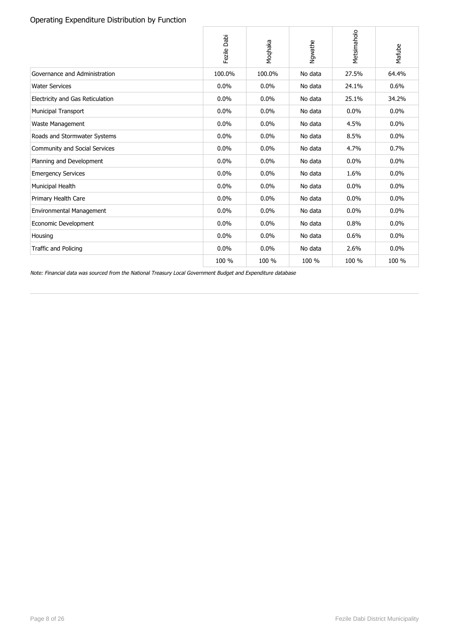### Operating Expenditure Distribution by Function

|                                      | Fezile Dabi | Moqhaka | Ngwathe | Metsimaholo | Mafube  |
|--------------------------------------|-------------|---------|---------|-------------|---------|
| Governance and Administration        | 100.0%      | 100.0%  | No data | 27.5%       | 64.4%   |
| <b>Water Services</b>                | 0.0%        | $0.0\%$ | No data | 24.1%       | 0.6%    |
| Electricity and Gas Reticulation     | 0.0%        | 0.0%    | No data | 25.1%       | 34.2%   |
| <b>Municipal Transport</b>           | 0.0%        | 0.0%    | No data | 0.0%        | 0.0%    |
| Waste Management                     | 0.0%        | 0.0%    | No data | 4.5%        | 0.0%    |
| Roads and Stormwater Systems         | 0.0%        | 0.0%    | No data | 8.5%        | 0.0%    |
| <b>Community and Social Services</b> | 0.0%        | 0.0%    | No data | 4.7%        | 0.7%    |
| Planning and Development             | 0.0%        | 0.0%    | No data | 0.0%        | $0.0\%$ |
| <b>Emergency Services</b>            | 0.0%        | 0.0%    | No data | 1.6%        | 0.0%    |
| Municipal Health                     | 0.0%        | 0.0%    | No data | 0.0%        | 0.0%    |
| Primary Health Care                  | 0.0%        | 0.0%    | No data | 0.0%        | 0.0%    |
| Environmental Management             | 0.0%        | 0.0%    | No data | 0.0%        | 0.0%    |
| Economic Development                 | 0.0%        | 0.0%    | No data | 0.8%        | 0.0%    |
| Housing                              | 0.0%        | 0.0%    | No data | 0.6%        | 0.0%    |
| Traffic and Policing                 | 0.0%        | 0.0%    | No data | 2.6%        | $0.0\%$ |
|                                      | 100 %       | 100 %   | 100 %   | 100 %       | 100 %   |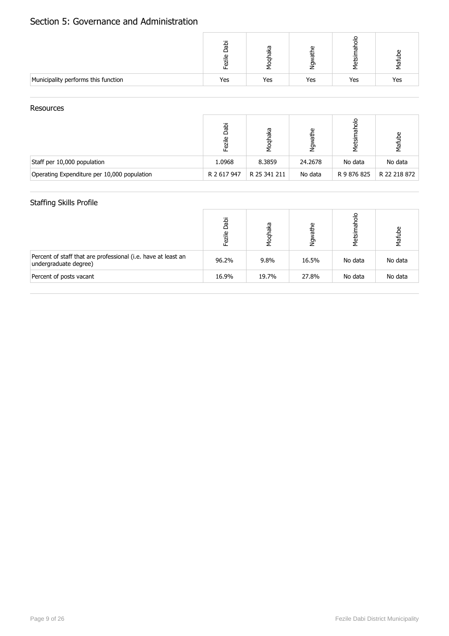## Section 5: Governance and Administration

|                                     |     |     | d)<br>0 | ത<br>ក | 后   |
|-------------------------------------|-----|-----|---------|--------|-----|
| Municipality performs this function | Yes | Yes | Yes     | Yes    | Yes |

#### **Resources**

|                                             | naj<br>Dapi<br>$\mathbf{\Omega}$<br>īg<br>Lei | aka<br>ᇹ     | athe<br>έş |             | Mafube       |
|---------------------------------------------|-----------------------------------------------|--------------|------------|-------------|--------------|
| Staff per 10,000 population                 | 1.0968                                        | 8.3859       | 24.2678    | No data     | No data      |
| Operating Expenditure per 10,000 population | R 2 617 947                                   | R 25 341 211 | No data    | R 9 876 825 | R 22 218 872 |

## Staffing Skills Profile

|                                                                                        | Dabi<br>Fezile | haka<br>Moq | athe<br>à | $rac{1}{2}$<br>ㅎ<br>Metsin | Mafube  |
|----------------------------------------------------------------------------------------|----------------|-------------|-----------|----------------------------|---------|
| Percent of staff that are professional (i.e. have at least an<br>undergraduate degree) | 96.2%          | 9.8%        | 16.5%     | No data                    | No data |
| Percent of posts vacant                                                                | 16.9%          | 19.7%       | 27.8%     | No data                    | No data |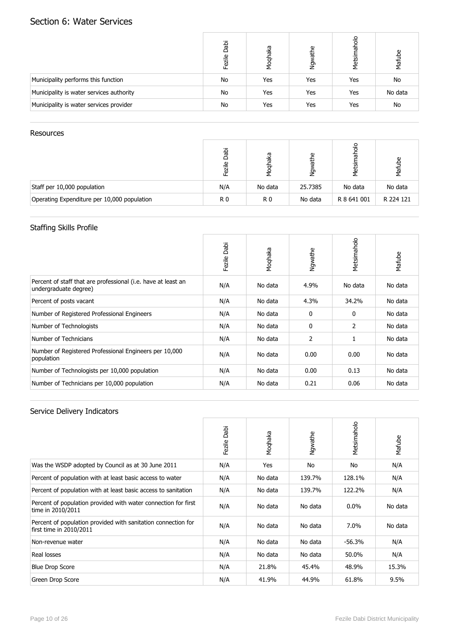## Section 6: Water Services

|                                          | Dabi<br>Fezile | Moqhaka | athe<br>Ŋφ | 응<br>Metsimal | Mafube  |
|------------------------------------------|----------------|---------|------------|---------------|---------|
| Municipality performs this function      | No             | Yes     | Yes        | Yes           | No      |
| Municipality is water services authority | No             | Yes     | Yes        | Yes           | No data |
| Municipality is water services provider  | No             | Yes     | Yes        | Yes           | No      |

### Resources

|                                             | Dabi<br>$\mathbf{\Omega}$<br>ਜ਼ | œ<br>应<br>ᇹ    | Φ<br>末<br>ğ | σ<br>Metsir | Mafube    |
|---------------------------------------------|---------------------------------|----------------|-------------|-------------|-----------|
| Staff per 10,000 population                 | N/A                             | No data        | 25.7385     | No data     | No data   |
| Operating Expenditure per 10,000 population | R0                              | R <sub>0</sub> | No data     | R 8 641 001 | R 224 121 |

## Staffing Skills Profile

|                                                                                        | Dabi<br>Fezile | Moqhaka | Ngwathe      | Metsimaholo | Mafube  |
|----------------------------------------------------------------------------------------|----------------|---------|--------------|-------------|---------|
| Percent of staff that are professional (i.e. have at least an<br>undergraduate degree) | N/A            | No data | 4.9%         | No data     | No data |
| Percent of posts vacant                                                                | N/A            | No data | 4.3%         | 34.2%       | No data |
| Number of Registered Professional Engineers                                            | N/A            | No data | $\mathbf{0}$ | 0           | No data |
| Number of Technologists                                                                | N/A            | No data | $\mathbf{0}$ | 2           | No data |
| Number of Technicians                                                                  | N/A            | No data | 2            | 1           | No data |
| Number of Registered Professional Engineers per 10,000<br>population                   | N/A            | No data | 0.00         | 0.00        | No data |
| Number of Technologists per 10,000 population                                          | N/A            | No data | 0.00         | 0.13        | No data |
| Number of Technicians per 10,000 population                                            | N/A            | No data | 0.21         | 0.06        | No data |

|                                                                                          | Dabi<br>Fezile | Moqhaka | Ngwathe | Metsimaholo | Mafube  |
|------------------------------------------------------------------------------------------|----------------|---------|---------|-------------|---------|
| Was the WSDP adopted by Council as at 30 June 2011                                       | N/A            | Yes     | No      | No          | N/A     |
| Percent of population with at least basic access to water                                | N/A            | No data | 139.7%  | 128.1%      | N/A     |
| Percent of population with at least basic access to sanitation                           | N/A            | No data | 139.7%  | 122.2%      | N/A     |
| Percent of population provided with water connection for first<br>time in 2010/2011      | N/A            | No data | No data | $0.0\%$     | No data |
| Percent of population provided with sanitation connection for<br>first time in 2010/2011 | N/A            | No data | No data | 7.0%        | No data |
| Non-revenue water                                                                        | N/A            | No data | No data | -56.3%      | N/A     |
| Real losses                                                                              | N/A            | No data | No data | 50.0%       | N/A     |
| <b>Blue Drop Score</b>                                                                   | N/A            | 21.8%   | 45.4%   | 48.9%       | 15.3%   |
| Green Drop Score                                                                         | N/A            | 41.9%   | 44.9%   | 61.8%       | 9.5%    |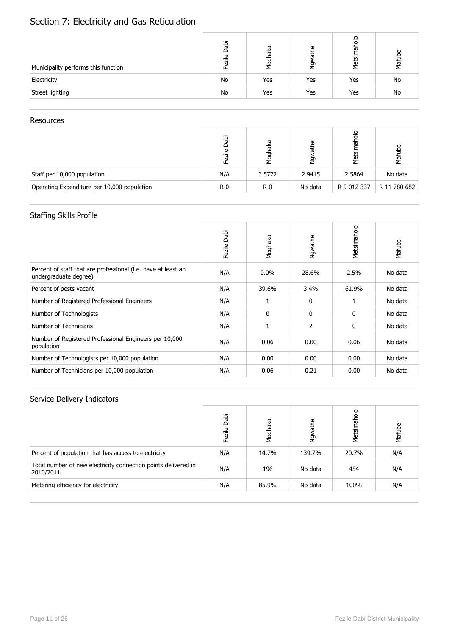# Section 7: Electricity and Gas Reticulation

| Municipality performs this function | Dabi<br>ezile | ভূ<br>Ø<br>Μoq | ഉ<br>节<br>έş | ᢛ<br>Metsir | ള്<br>Mafu |
|-------------------------------------|---------------|----------------|--------------|-------------|------------|
| Electricity                         | No            | Yes            | Yes          | Yes         | No         |
| Street lighting                     | No            | Yes            | Yes          | Yes         | No         |

#### **Resources**

|                                             | Dabi<br>Fezile | haka<br>ᡖ<br>ğ | Φ<br>Ξ  | 응<br><u>ই</u><br>Σ | Φ<br>Mafut   |
|---------------------------------------------|----------------|----------------|---------|--------------------|--------------|
| Staff per 10,000 population                 | N/A            | 3.5772         | 2.9415  | 2.5864             | No data      |
| Operating Expenditure per 10,000 population | R0             | R <sub>0</sub> | No data | R 9 012 337        | R 11 780 682 |

## Staffing Skills Profile

|                                                                                        | Dabi<br>Fezile | Moqhaka      | Ngwathe      | Metsimaholo | Mafube  |
|----------------------------------------------------------------------------------------|----------------|--------------|--------------|-------------|---------|
| Percent of staff that are professional (i.e. have at least an<br>undergraduate degree) | N/A            | $0.0\%$      | 28.6%        | 2.5%        | No data |
| Percent of posts vacant                                                                | N/A            | 39.6%        | 3.4%         | 61.9%       | No data |
| Number of Registered Professional Engineers                                            | N/A            |              | $\mathbf{0}$ | 1           | No data |
| Number of Technologists                                                                | N/A            | $\mathbf{0}$ | 0            | 0           | No data |
| Number of Technicians                                                                  | N/A            |              | 2            | 0           | No data |
| Number of Registered Professional Engineers per 10,000<br>population                   | N/A            | 0.06         | 0.00         | 0.06        | No data |
| Number of Technologists per 10,000 population                                          | N/A            | 0.00         | 0.00         | 0.00        | No data |
| Number of Technicians per 10,000 population                                            | N/A            | 0.06         | 0.21         | 0.00        | No data |

|                                                                             | Dabi<br>Fezile | Moqhaka | athe<br>Мау<br>Х | Metsimaholo | Mafube |
|-----------------------------------------------------------------------------|----------------|---------|------------------|-------------|--------|
| Percent of population that has access to electricity                        | N/A            | 14.7%   | 139.7%           | 20.7%       | N/A    |
| Total number of new electricity connection points delivered in<br>2010/2011 | N/A            | 196     | No data          | 454         | N/A    |
| Metering efficiency for electricity                                         | N/A            | 85.9%   | No data          | 100%        | N/A    |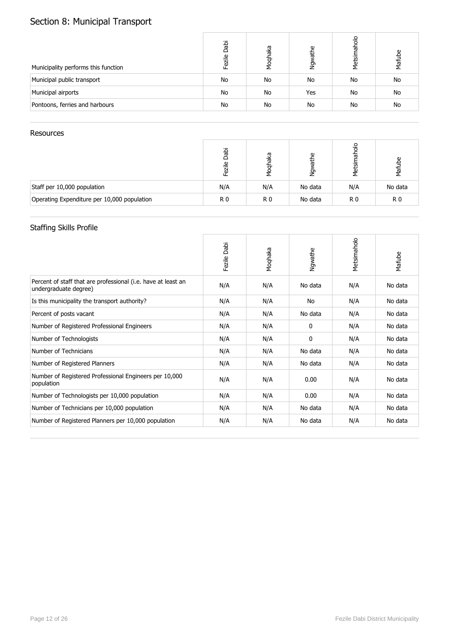# Section 8: Municipal Transport

| Municipality performs this function | Dabi<br>Fezile | Moqhaka | athe<br>δ× | Metsimaholo | Mafube |
|-------------------------------------|----------------|---------|------------|-------------|--------|
| Municipal public transport          | No             | No      | No         | No          | No     |
| Municipal airports                  | No             | No      | Yes        | No          | No     |
| Pontoons, ferries and harbours      | No             | No      | No         | No          | No     |

### Resources

|                                             | Dabi<br>zile   | aka<br>ह<br>Σ  | Φ<br>节<br>ġ | ᠊ᢛ<br>Metsin | Mafube         |
|---------------------------------------------|----------------|----------------|-------------|--------------|----------------|
| Staff per 10,000 population                 | N/A            | N/A            | No data     | N/A          | No data        |
| Operating Expenditure per 10,000 population | R <sub>0</sub> | R <sub>0</sub> | No data     | R0           | R <sub>0</sub> |

## Staffing Skills Profile

|                                                                                        | Dabi<br>Fezile | Moqhaka | Ngwathe      | Metsimaholo | Mafube  |
|----------------------------------------------------------------------------------------|----------------|---------|--------------|-------------|---------|
| Percent of staff that are professional (i.e. have at least an<br>undergraduate degree) | N/A            | N/A     | No data      | N/A         | No data |
| Is this municipality the transport authority?                                          | N/A            | N/A     | No           | N/A         | No data |
| Percent of posts vacant                                                                | N/A            | N/A     | No data      | N/A         | No data |
| Number of Registered Professional Engineers                                            | N/A            | N/A     | 0            | N/A         | No data |
| Number of Technologists                                                                | N/A            | N/A     | $\mathbf{0}$ | N/A         | No data |
| Number of Technicians                                                                  | N/A            | N/A     | No data      | N/A         | No data |
| Number of Registered Planners                                                          | N/A            | N/A     | No data      | N/A         | No data |
| Number of Registered Professional Engineers per 10,000<br>population                   | N/A            | N/A     | 0.00         | N/A         | No data |
| Number of Technologists per 10,000 population                                          | N/A            | N/A     | 0.00         | N/A         | No data |
| Number of Technicians per 10,000 population                                            | N/A            | N/A     | No data      | N/A         | No data |
| Number of Registered Planners per 10,000 population                                    | N/A            | N/A     | No data      | N/A         | No data |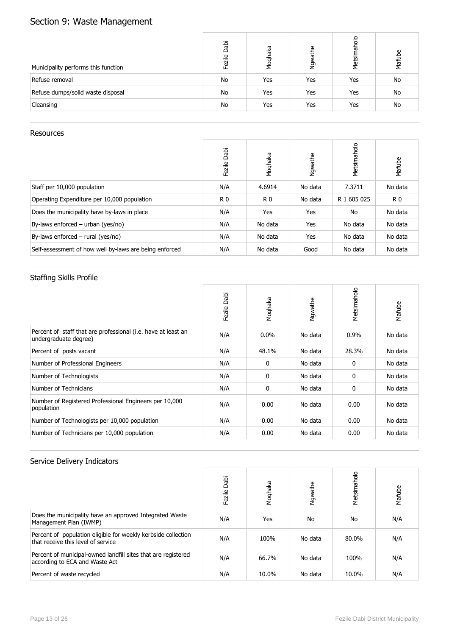# Section 9: Waste Management

| Municipality performs this function | Dabi<br>Fezile | Moqhaka | athe<br>$\sum_{i=1}^{n}$ | Metsimaholo | Mafube    |
|-------------------------------------|----------------|---------|--------------------------|-------------|-----------|
| Refuse removal                      | No             | Yes     | Yes                      | Yes         | No        |
| Refuse dumps/solid waste disposal   | No             | Yes     | Yes                      | Yes         | No        |
| Cleansing                           | No             | Yes     | Yes                      | Yes         | <b>No</b> |

#### **Resources**

|                                                        | Dabi<br>Fezile | Moqhaka        | Ngwathe | Metsimaholo | Mafube    |
|--------------------------------------------------------|----------------|----------------|---------|-------------|-----------|
| Staff per 10,000 population                            | N/A            | 4.6914         | No data | 7.3711      | No data   |
| Operating Expenditure per 10,000 population            | R <sub>0</sub> | R <sub>0</sub> | No data | R 1 605 025 | <b>R0</b> |
| Does the municipality have by-laws in place            | N/A            | Yes            | Yes     | No          | No data   |
| By-laws enforced $-$ urban (yes/no)                    | N/A            | No data        | Yes     | No data     | No data   |
| By-laws enforced $-$ rural (yes/no)                    | N/A            | No data        | Yes     | No data     | No data   |
| Self-assessment of how well by-laws are being enforced | N/A            | No data        | Good    | No data     | No data   |

## Staffing Skills Profile

|                                                                                        | Dabi<br>Fezile | Moqhaka      | Ngwathe | Metsimaholo | Mafube  |
|----------------------------------------------------------------------------------------|----------------|--------------|---------|-------------|---------|
| Percent of staff that are professional (i.e. have at least an<br>undergraduate degree) | N/A            | $0.0\%$      | No data | $0.9\%$     | No data |
| Percent of posts vacant                                                                | N/A            | 48.1%        | No data | 28.3%       | No data |
| Number of Professional Engineers                                                       | N/A            | 0            | No data | 0           | No data |
| Number of Technologists                                                                | N/A            | $\mathbf{0}$ | No data | 0           | No data |
| Number of Technicians                                                                  | N/A            | 0            | No data | 0           | No data |
| Number of Registered Professional Engineers per 10,000<br>population                   | N/A            | 0.00         | No data | 0.00        | No data |
| Number of Technologists per 10,000 population                                          | N/A            | 0.00         | No data | 0.00        | No data |
| Number of Technicians per 10,000 population                                            | N/A            | 0.00         | No data | 0.00        | No data |

|                                                                                                     | Dabi<br>Fezile | Moqhaka | Ngwathe | Metsimaholo | Mafube |
|-----------------------------------------------------------------------------------------------------|----------------|---------|---------|-------------|--------|
| Does the municipality have an approved Integrated Waste<br>Management Plan (IWMP)                   | N/A            | Yes     | No      | No          | N/A    |
| Percent of population eligible for weekly kerbside collection<br>that receive this level of service | N/A            | 100%    | No data | 80.0%       | N/A    |
| Percent of municipal-owned landfill sites that are registered<br>according to ECA and Waste Act     | N/A            | 66.7%   | No data | 100%        | N/A    |
| Percent of waste recycled                                                                           | N/A            | 10.0%   | No data | 10.0%       | N/A    |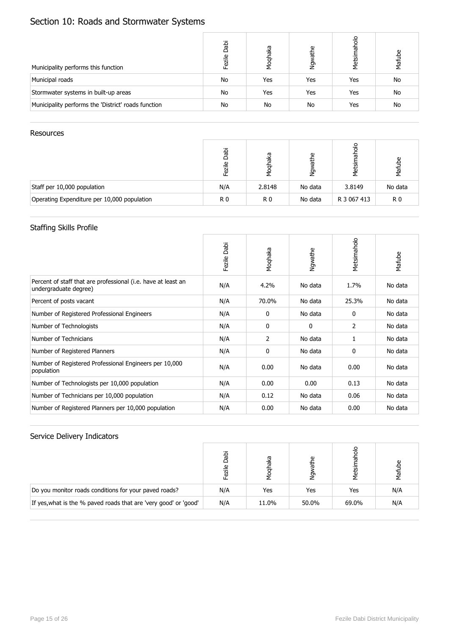# Section 10: Roads and Stormwater Systems

| Municipality performs this function                 | Dabi<br>Fezile | Moqhaka | athe<br>ðΜ | aholo<br>Metsir | Mafube |
|-----------------------------------------------------|----------------|---------|------------|-----------------|--------|
| Municipal roads                                     | No             | Yes     | Yes        | Yes             | No     |
| Stormwater systems in built-up areas                | No             | Yes     | Yes        | Yes             | No     |
| Municipality performs the 'District' roads function | No             | No      | No         | Yes             | No     |

#### **Resources**

|                                             | Dabi<br>zile   | eyei<br><b>Mod</b> | athe<br><u>وا</u> | त्त<br>Metsir | Mafube         |
|---------------------------------------------|----------------|--------------------|-------------------|---------------|----------------|
| Staff per 10,000 population                 | N/A            | 2.8148             | No data           | 3.8149        | No data        |
| Operating Expenditure per 10,000 population | R <sub>0</sub> | R <sub>0</sub>     | No data           | R 3 067 413   | R <sub>0</sub> |

### Staffing Skills Profile

|                                                                                        | Dabi<br>Fezile | Moqhaka | Ngwathe | Metsimaholo | Mafube  |
|----------------------------------------------------------------------------------------|----------------|---------|---------|-------------|---------|
| Percent of staff that are professional (i.e. have at least an<br>undergraduate degree) | N/A            | 4.2%    | No data | 1.7%        | No data |
| Percent of posts vacant                                                                | N/A            | 70.0%   | No data | 25.3%       | No data |
| Number of Registered Professional Engineers                                            | N/A            | 0       | No data | 0           | No data |
| Number of Technologists                                                                | N/A            | 0       | 0       | 2           | No data |
| Number of Technicians                                                                  | N/A            | 2       | No data | 1           | No data |
| Number of Registered Planners                                                          | N/A            | 0       | No data | 0           | No data |
| Number of Registered Professional Engineers per 10,000<br>population                   | N/A            | 0.00    | No data | 0.00        | No data |
| Number of Technologists per 10,000 population                                          | N/A            | 0.00    | 0.00    | 0.13        | No data |
| Number of Technicians per 10,000 population                                            | N/A            | 0.12    | No data | 0.06        | No data |
| Number of Registered Planners per 10,000 population                                    | N/A            | 0.00    | No data | 0.00        | No data |

|                                                                  | iqec<br>Fezile | ्र<br>ত | G)<br>త్తా<br>2 | Metsir | Maful |
|------------------------------------------------------------------|----------------|---------|-----------------|--------|-------|
| Do you monitor roads conditions for your paved roads?            | N/A            | Yes     | Yes             | Yes    | N/A   |
| If yes, what is the % paved roads that are 'very good' or 'good' | N/A            | 11.0%   | 50.0%           | 69.0%  | N/A   |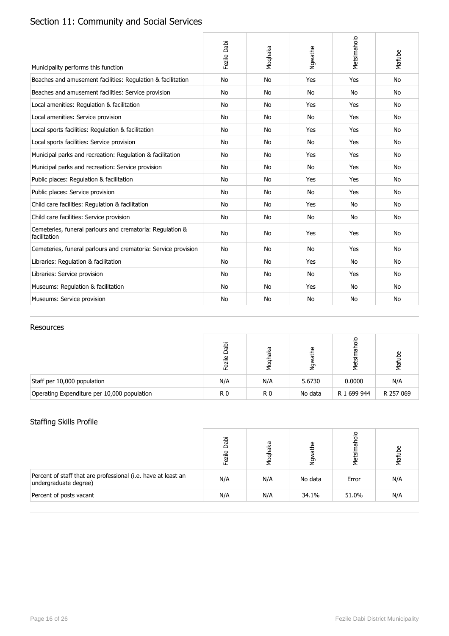# Section 11: Community and Social Services

| Municipality performs this function                                       | Fezile Dabi | Moqhaka   | Ngwathe   | Metsimaholo | Mafube    |
|---------------------------------------------------------------------------|-------------|-----------|-----------|-------------|-----------|
| Beaches and amusement facilities: Regulation & facilitation               | No          | <b>No</b> | Yes       | Yes         | <b>No</b> |
| Beaches and amusement facilities: Service provision                       | No          | <b>No</b> | <b>No</b> | No          | <b>No</b> |
| Local amenities: Regulation & facilitation                                | No          | No        | Yes       | Yes         | No        |
| Local amenities: Service provision                                        | No          | <b>No</b> | <b>No</b> | Yes         | <b>No</b> |
| Local sports facilities: Regulation & facilitation                        | No          | No        | Yes       | Yes         | No        |
| Local sports facilities: Service provision                                | No          | No        | No        | Yes         | <b>No</b> |
| Municipal parks and recreation: Regulation & facilitation                 | No          | No        | Yes       | Yes         | No        |
| Municipal parks and recreation: Service provision                         | No          | <b>No</b> | <b>No</b> | Yes         | <b>No</b> |
| Public places: Regulation & facilitation                                  | No          | <b>No</b> | Yes       | Yes         | <b>No</b> |
| Public places: Service provision                                          | <b>No</b>   | <b>No</b> | <b>No</b> | Yes         | <b>No</b> |
| Child care facilities: Regulation & facilitation                          | No          | <b>No</b> | Yes       | No          | <b>No</b> |
| Child care facilities: Service provision                                  | No          | No        | No        | No          | No        |
| Cemeteries, funeral parlours and crematoria: Regulation &<br>facilitation | <b>No</b>   | <b>No</b> | Yes       | Yes         | <b>No</b> |
| Cemeteries, funeral parlours and crematoria: Service provision            | No          | No        | No        | Yes         | No        |
| Libraries: Regulation & facilitation                                      | No          | No        | Yes       | <b>No</b>   | No        |
| Libraries: Service provision                                              | No          | <b>No</b> | <b>No</b> | Yes         | <b>No</b> |
| Museums: Regulation & facilitation                                        | No          | No        | Yes       | No          | <b>No</b> |
| Museums: Service provision                                                | No          | <b>No</b> | <b>No</b> | <b>No</b>   | <b>No</b> |

### Resources

|                                             | Jabi<br>zile   | eyei           | ω<br>흉<br>ğ | $\circ$<br>᠊ᢛ<br>Metsi | Mafube    |
|---------------------------------------------|----------------|----------------|-------------|------------------------|-----------|
| Staff per 10,000 population                 | N/A            | N/A            | 5.6730      | 0.0000                 | N/A       |
| Operating Expenditure per 10,000 population | R <sub>0</sub> | R <sub>0</sub> | No data     | R 1 699 944            | R 257 069 |

## Staffing Skills Profile

|                                                                                        | Dabi<br>≗<br>Fezi | iaka<br>Noql | athe<br>Νgν | 응<br>Metsi | Mafube |
|----------------------------------------------------------------------------------------|-------------------|--------------|-------------|------------|--------|
| Percent of staff that are professional (i.e. have at least an<br>undergraduate degree) | N/A               | N/A          | No data     | Error      | N/A    |
| Percent of posts vacant                                                                | N/A               | N/A          | 34.1%       | 51.0%      | N/A    |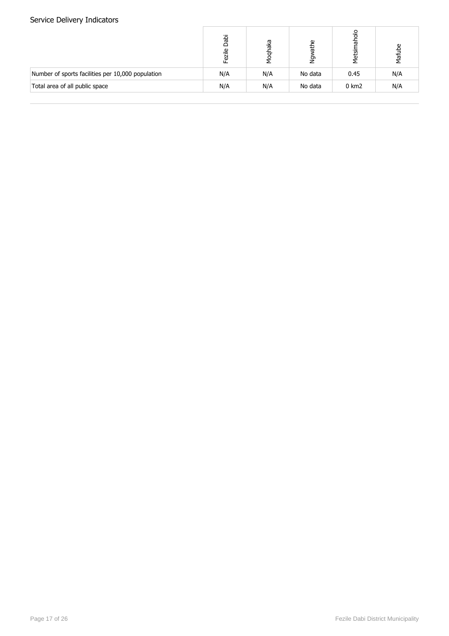|                                                   | Dabi<br>$\overline{\mathsf{v}}$<br>Ī | eyel<br>Σg | Φ<br>节<br>έ | olorla<br>Metsir | Φ<br>Mafut |
|---------------------------------------------------|--------------------------------------|------------|-------------|------------------|------------|
| Number of sports facilities per 10,000 population | N/A                                  | N/A        | No data     | 0.45             | N/A        |
| Total area of all public space                    | N/A                                  | N/A        | No data     | $0 \text{ km}$ 2 | N/A        |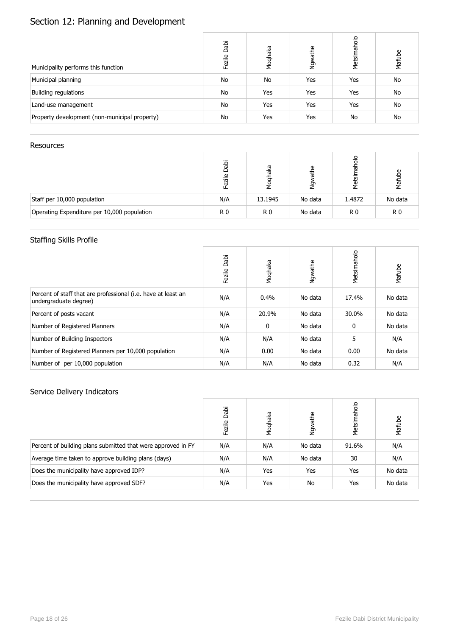# Section 12: Planning and Development

| Municipality performs this function           | Dabi<br>Fezile | Moqhaka | athe<br>Ngw | Metsimaholo | Mafube    |
|-----------------------------------------------|----------------|---------|-------------|-------------|-----------|
| Municipal planning                            | No             | No      | Yes         | Yes         | <b>No</b> |
| Building regulations                          | No             | Yes     | Yes         | Yes         | <b>No</b> |
| Land-use management                           | No             | Yes     | Yes         | Yes         | <b>No</b> |
| Property development (non-municipal property) | No             | Yes     | Yes         | <b>No</b>   | <b>No</b> |

#### Resources

|                                             | Dabi<br>ezile | eyei<br>চ<br>ম | ω<br>ㅎ<br>έş | 응<br>ᢛ<br>·எ<br>tij<br>N | Mafube         |
|---------------------------------------------|---------------|----------------|--------------|--------------------------|----------------|
| Staff per 10,000 population                 | N/A           | 13.1945        | No data      | 1.4872                   | No data        |
| Operating Expenditure per 10,000 population | R0            | R0             | No data      | R <sub>0</sub>           | R <sub>0</sub> |

## Staffing Skills Profile

|                                                                                        | Dabi<br>Fezile | Moqhaka      | Ngwathe | Metsimaholo | Mafube  |
|----------------------------------------------------------------------------------------|----------------|--------------|---------|-------------|---------|
| Percent of staff that are professional (i.e. have at least an<br>undergraduate degree) | N/A            | $0.4\%$      | No data | 17.4%       | No data |
| Percent of posts vacant                                                                | N/A            | 20.9%        | No data | 30.0%       | No data |
| Number of Registered Planners                                                          | N/A            | $\mathbf{0}$ | No data | 0           | No data |
| Number of Building Inspectors                                                          | N/A            | N/A          | No data | 5           | N/A     |
| Number of Registered Planners per 10,000 population                                    | N/A            | 0.00         | No data | 0.00        | No data |
| Number of per 10,000 population                                                        | N/A            | N/A          | No data | 0.32        | N/A     |

|                                                              | Dabi<br>Fezile | Moqhaka | Ngwathe | Metsimaholo | Mafube  |
|--------------------------------------------------------------|----------------|---------|---------|-------------|---------|
| Percent of building plans submitted that were approved in FY | N/A            | N/A     | No data | 91.6%       | N/A     |
| Average time taken to approve building plans (days)          | N/A            | N/A     | No data | 30          | N/A     |
| Does the municipality have approved IDP?                     | N/A            | Yes     | Yes     | Yes         | No data |
| Does the municipality have approved SDF?                     | N/A            | Yes     | No      | Yes         | No data |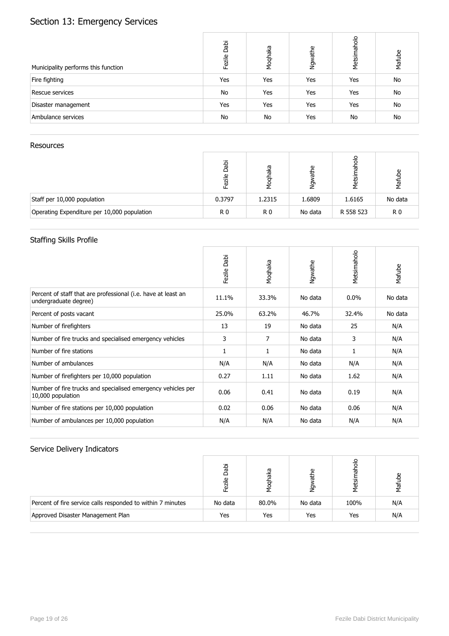# Section 13: Emergency Services

| Municipality performs this function | Dabi<br>Fezile | Moqhaka | Ngwathe | Metsimaholo | Mafube    |
|-------------------------------------|----------------|---------|---------|-------------|-----------|
| Fire fighting                       | Yes            | Yes     | Yes     | Yes         | No        |
| Rescue services                     | No             | Yes     | Yes     | Yes         | No        |
| Disaster management                 | Yes            | Yes     | Yes     | Yes         | No        |
| Ambulance services                  | No             | No      | Yes     | <b>No</b>   | <b>No</b> |

### Resources

|                                             | Dabi<br>₾<br>ā | iaka<br>ত<br>মৃ | ω<br>节<br>ğ | ᢛ<br>Metsir | ്മ<br>Mafut    |
|---------------------------------------------|----------------|-----------------|-------------|-------------|----------------|
| Staff per 10,000 population                 | 0.3797         | 1.2315          | 1.6809      | 1.6165      | No data        |
| Operating Expenditure per 10,000 population | R <sub>0</sub> | R0              | No data     | R 558 523   | R <sub>0</sub> |

## Staffing Skills Profile

|                                                                                        | Dabi<br>Fezile | Moqhaka        | Ngwathe | Metsimaholo | Mafube  |
|----------------------------------------------------------------------------------------|----------------|----------------|---------|-------------|---------|
| Percent of staff that are professional (i.e. have at least an<br>undergraduate degree) | 11.1%          | 33.3%          | No data | $0.0\%$     | No data |
| Percent of posts vacant                                                                | 25.0%          | 63.2%          | 46.7%   | 32.4%       | No data |
| Number of firefighters                                                                 | 13             | 19             | No data | 25          | N/A     |
| Number of fire trucks and specialised emergency vehicles                               | 3              | $\overline{7}$ | No data | 3           | N/A     |
| Number of fire stations                                                                | 1              | 1              | No data | 1           | N/A     |
| Number of ambulances                                                                   | N/A            | N/A            | No data | N/A         | N/A     |
| Number of firefighters per 10,000 population                                           | 0.27           | 1.11           | No data | 1.62        | N/A     |
| Number of fire trucks and specialised emergency vehicles per<br>10,000 population      | 0.06           | 0.41           | No data | 0.19        | N/A     |
| Number of fire stations per 10,000 population                                          | 0.02           | 0.06           | No data | 0.06        | N/A     |
| Number of ambulances per 10,000 population                                             | N/A            | N/A            | No data | N/A         | N/A     |

|                                                             | ideo<br>$\mathbf{\Omega}$<br>Fezi | аkа   | ω<br>ㅎ<br>Σā | å<br>Metsi | Mafu |
|-------------------------------------------------------------|-----------------------------------|-------|--------------|------------|------|
| Percent of fire service calls responded to within 7 minutes | No data                           | 80.0% | No data      | 100%       | N/A  |
| Approved Disaster Management Plan                           | Yes                               | Yes   | Yes          | Yes        | N/A  |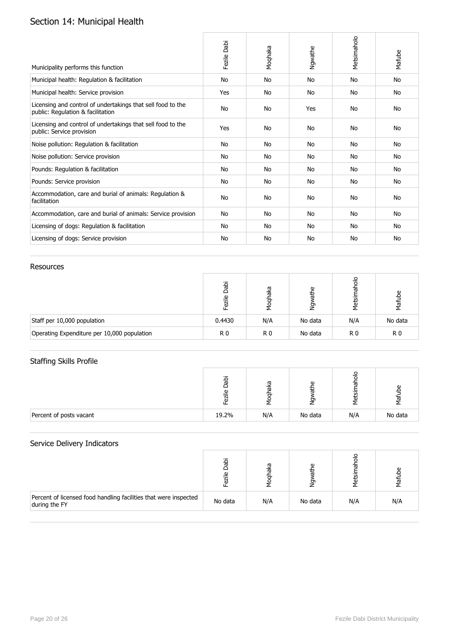# Section 14: Municipal Health

| Municipality performs this function                                                              | Fezile Dabi | Moqhaka   | Ngwathe   | Metsimaholo | Mafube    |
|--------------------------------------------------------------------------------------------------|-------------|-----------|-----------|-------------|-----------|
| Municipal health: Regulation & facilitation                                                      | No          | No        | <b>No</b> | No          | <b>No</b> |
| Municipal health: Service provision                                                              | Yes         | <b>No</b> | <b>No</b> | No          | <b>No</b> |
| Licensing and control of undertakings that sell food to the<br>public: Regulation & facilitation | No          | <b>No</b> | Yes       | No          | <b>No</b> |
| Licensing and control of undertakings that sell food to the<br>public: Service provision         | Yes         | <b>No</b> | <b>No</b> | No          | <b>No</b> |
| Noise pollution: Regulation & facilitation                                                       | No          | <b>No</b> | No        | No          | No        |
| Noise pollution: Service provision                                                               | No          | <b>No</b> | No        | No          | No        |
| Pounds: Regulation & facilitation                                                                | No          | No        | No        | No          | No        |
| Pounds: Service provision                                                                        | <b>No</b>   | No        | <b>No</b> | No          | No        |
| Accommodation, care and burial of animals: Regulation &<br>facilitation                          | No          | <b>No</b> | <b>No</b> | <b>No</b>   | No        |
| Accommodation, care and burial of animals: Service provision                                     | No          | No        | No        | No          | No        |
| Licensing of dogs: Regulation & facilitation                                                     | No          | No        | No        | No          | No        |
| Licensing of dogs: Service provision                                                             | No          | No        | No        | <b>No</b>   | No        |

### Resources

|                                             | Dabi<br>$\overline{\mathsf{v}}$<br>ā | œ<br>ᄛ | Φ<br>节<br>g | 응<br>᠊ᢐ<br>Metsir | Mafube         |
|---------------------------------------------|--------------------------------------|--------|-------------|-------------------|----------------|
| Staff per 10,000 population                 | 0.4430                               | N/A    | No data     | N/A               | No data        |
| Operating Expenditure per 10,000 population | R <sub>0</sub>                       | R0     | No data     | R <sub>0</sub>    | R <sub>0</sub> |

## Staffing Skills Profile

|                         | ○<br>ω | ᠬᠣ<br>ᢛ | ω<br>ᠳ<br>⇁<br>∠ | $\circ$<br>G<br><b>ក</b><br>ಕ | 눉       |
|-------------------------|--------|---------|------------------|-------------------------------|---------|
| Percent of posts vacant | 19.2%  | N/A     | No data          | N/A                           | No data |

|                                                                                   | $\Omega$<br>ω | ᢐ   | ω<br>₽  | τ   |     |
|-----------------------------------------------------------------------------------|---------------|-----|---------|-----|-----|
| Percent of licensed food handling facilities that were inspected<br>during the FY | No data       | N/A | No data | N/A | N/A |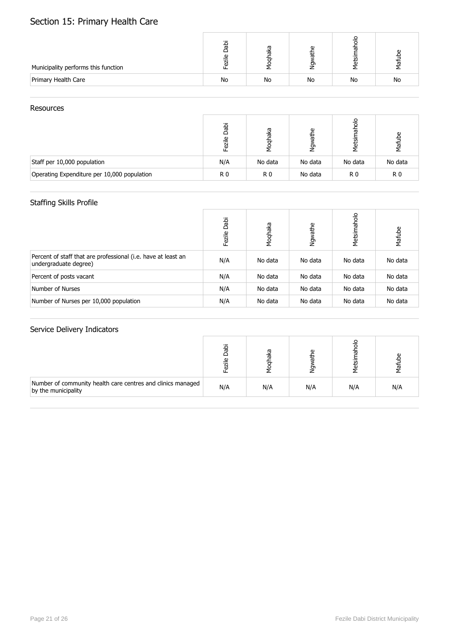# Section 15: Primary Health Care

| Municipality performs this function | σ<br>Φ | ᢐ<br>ത | O) |    |           |
|-------------------------------------|--------|--------|----|----|-----------|
| Primary Health Care                 | No     | No     | No | No | <b>No</b> |

#### **Resources**

|                                             | Dabi<br>ezile  | laka<br>Moq    | Φ<br>칢<br>έş | त<br>ne<br>Ne | Mafube         |
|---------------------------------------------|----------------|----------------|--------------|---------------|----------------|
| Staff per 10,000 population                 | N/A            | No data        | No data      | No data       | No data        |
| Operating Expenditure per 10,000 population | R <sub>0</sub> | R <sub>0</sub> | No data      | R0            | R <sub>0</sub> |

## Staffing Skills Profile

|                                                                                        | Dabi<br>Fezile | Moqhaka | Ngwathe | Metsimaholo | Mafube  |
|----------------------------------------------------------------------------------------|----------------|---------|---------|-------------|---------|
| Percent of staff that are professional (i.e. have at least an<br>undergraduate degree) | N/A            | No data | No data | No data     | No data |
| Percent of posts vacant                                                                | N/A            | No data | No data | No data     | No data |
| Number of Nurses                                                                       | N/A            | No data | No data | No data     | No data |
| Number of Nurses per 10,000 population                                                 | N/A            | No data | No data | No data     | No data |

|                                                                                    |     | ᢐ<br>ᢐ | ω<br>욷 | ത<br>ъ | ൧<br>卮 |
|------------------------------------------------------------------------------------|-----|--------|--------|--------|--------|
| Number of community health care centres and clinics managed<br>by the municipality | N/A | N/A    | N/A    | N/A    | N/A    |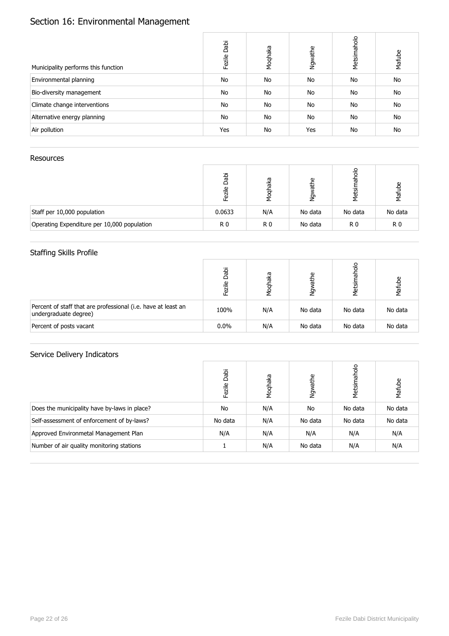# Section 16: Environmental Management

| Municipality performs this function | Dabi<br>Fezile | Moqhaka   | Ngwathe | Metsimaholo | Mafube    |
|-------------------------------------|----------------|-----------|---------|-------------|-----------|
| Environmental planning              | No             | <b>No</b> | No      | No          | No        |
| Bio-diversity management            | No             | <b>No</b> | No      | No          | No        |
| Climate change interventions        | No             | <b>No</b> | No      | No          | No        |
| Alternative energy planning         | No             | No        | No      | No          | No        |
| Air pollution                       | Yes            | <b>No</b> | Yes     | No          | <b>No</b> |

### Resources

|                                             | iqec<br>م      | ฐ<br>ত<br>ह | Φ<br>诘<br>έ | 응<br>᠊ᢛ<br>Metsi | ω<br>√āf |
|---------------------------------------------|----------------|-------------|-------------|------------------|----------|
| Staff per 10,000 population                 | 0.0633         | N/A         | No data     | No data          | No data  |
| Operating Expenditure per 10,000 population | R <sub>0</sub> | R0          | No data     | R <sub>0</sub>   | R0       |

### Staffing Skills Profile

|                                                                                        | Dabi<br>₾<br>Ī | eyei<br>ΣQ | athe<br>ΜĀ | Metsir  | Mafube  |
|----------------------------------------------------------------------------------------|----------------|------------|------------|---------|---------|
| Percent of staff that are professional (i.e. have at least an<br>undergraduate degree) | 100%           | N/A        | No data    | No data | No data |
| Percent of posts vacant                                                                | $0.0\%$        | N/A        | No data    | No data | No data |

|                                              | Dabi<br>Fezile | Moqhaka | Ngwathe | Metsimaholo | Mafube  |
|----------------------------------------------|----------------|---------|---------|-------------|---------|
| Does the municipality have by-laws in place? | No             | N/A     | No      | No data     | No data |
| Self-assessment of enforcement of by-laws?   | No data        | N/A     | No data | No data     | No data |
| Approved Environmetal Management Plan        | N/A            | N/A     | N/A     | N/A         | N/A     |
| Number of air quality monitoring stations    |                | N/A     | No data | N/A         | N/A     |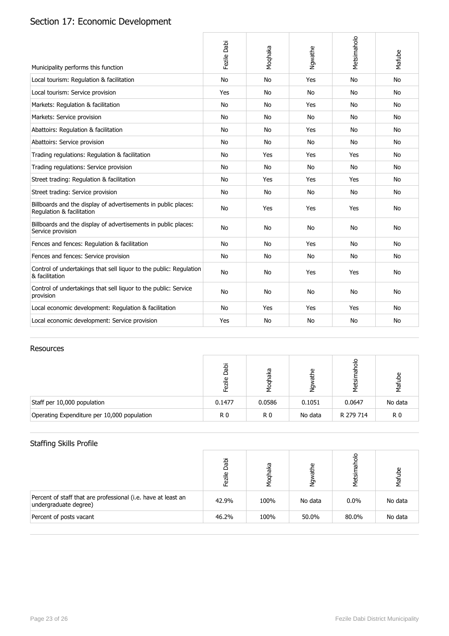# Section 17: Economic Development

| Municipality performs this function                                                         | Fezile Dabi | Moqhaka   | Ngwathe   | Metsimaholo | Mafube    |
|---------------------------------------------------------------------------------------------|-------------|-----------|-----------|-------------|-----------|
| Local tourism: Regulation & facilitation                                                    | <b>No</b>   | <b>No</b> | Yes       | <b>No</b>   | <b>No</b> |
| Local tourism: Service provision                                                            | Yes         | No        | No        | <b>No</b>   | No.       |
| Markets: Regulation & facilitation                                                          | <b>No</b>   | <b>No</b> | Yes       | No          | No.       |
| Markets: Service provision                                                                  | No          | No        | No        | No          | No        |
| Abattoirs: Regulation & facilitation                                                        | <b>No</b>   | <b>No</b> | Yes       | No          | <b>No</b> |
| Abattoirs: Service provision                                                                | <b>No</b>   | <b>No</b> | <b>No</b> | <b>No</b>   | No.       |
| Trading regulations: Regulation & facilitation                                              | No          | Yes       | Yes       | Yes         | No.       |
| Trading regulations: Service provision                                                      | <b>No</b>   | <b>No</b> | <b>No</b> | <b>No</b>   | <b>No</b> |
| Street trading: Regulation & facilitation                                                   | No          | Yes       | Yes       | Yes         | No        |
| Street trading: Service provision                                                           | No          | No        | No        | No          | No.       |
| Billboards and the display of advertisements in public places:<br>Regulation & facilitation | No          | Yes       | Yes       | Yes         | <b>No</b> |
| Billboards and the display of advertisements in public places:<br>Service provision         | <b>No</b>   | <b>No</b> | <b>No</b> | No          | <b>No</b> |
| Fences and fences: Regulation & facilitation                                                | No          | <b>No</b> | Yes       | No          | No.       |
| Fences and fences: Service provision                                                        | No          | No        | No        | No          | No        |
| Control of undertakings that sell liquor to the public: Regulation<br>& facilitation        | No          | No        | Yes       | Yes         | <b>No</b> |
| Control of undertakings that sell liquor to the public: Service<br>provision                | <b>No</b>   | <b>No</b> | <b>No</b> | No          | No        |
| Local economic development: Regulation & facilitation                                       | No          | Yes       | Yes       | Yes         | No.       |
| Local economic development: Service provision                                               | Yes         | <b>No</b> | <b>No</b> | No          | No        |

#### Resources

|                                             | Jabi<br>zile   | eyei<br>ह<br>Σ | Φ<br>节<br>έş | ᠊ᢛ<br>tij<br>Net | Mafube         |
|---------------------------------------------|----------------|----------------|--------------|------------------|----------------|
| Staff per 10,000 population                 | 0.1477         | 0.0586         | 0.1051       | 0.0647           | No data        |
| Operating Expenditure per 10,000 population | R <sub>0</sub> | R <sub>0</sub> | No data      | R 279 714        | R <sub>0</sub> |

## Staffing Skills Profile

|                                                                                        | Dabi<br>Fezile | Moqhaka | مِ<br>ᄁ<br>δş | 응<br>Metsin | ഉ<br>Mafut |
|----------------------------------------------------------------------------------------|----------------|---------|---------------|-------------|------------|
| Percent of staff that are professional (i.e. have at least an<br>undergraduate degree) | 42.9%          | 100%    | No data       | $0.0\%$     | No data    |
| Percent of posts vacant                                                                | 46.2%          | 100%    | 50.0%         | 80.0%       | No data    |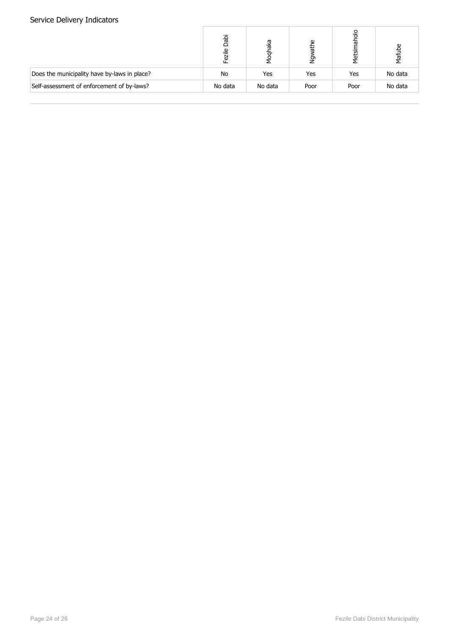|                                              | Dabi<br>Fezile | pyet<br>Σg | Φ<br>끊<br>έş | 9<br>Metsir | ω<br>Mafub |
|----------------------------------------------|----------------|------------|--------------|-------------|------------|
| Does the municipality have by-laws in place? | No             | Yes        | Yes          | Yes         | No data    |
| Self-assessment of enforcement of by-laws?   | No data        | No data    | Poor         | Poor        | No data    |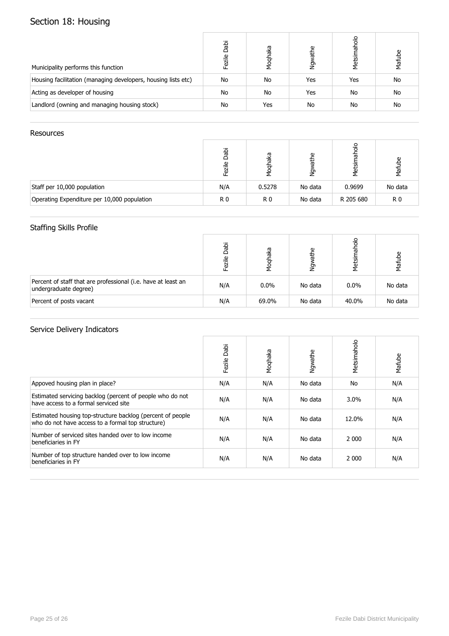# Section 18: Housing

| Municipality performs this function                           | Dabi<br>Fezile | Moqhaka   | athe<br>ηğη | 응<br>ট<br>Metsir | Mafube |
|---------------------------------------------------------------|----------------|-----------|-------------|------------------|--------|
| Housing facilitation (managing developers, housing lists etc) | No             | <b>No</b> | Yes         | Yes              | No     |
| Acting as developer of housing                                | No             | No        | Yes         | No               | No     |
| Landlord (owning and managing housing stock)                  | No             | Yes       | No          | No               | No     |

#### Resources

|                                             | Jabi<br>$\mathbf{\Omega}$ | œ<br>ত<br>ヮ    | Φ<br>玉<br><u>چ</u> | is<br>N   | ്ള<br>Mafu     |
|---------------------------------------------|---------------------------|----------------|--------------------|-----------|----------------|
| Staff per 10,000 population                 | N/A                       | 0.5278         | No data            | 0.9699    | No data        |
| Operating Expenditure per 10,000 population | R <sub>0</sub>            | R <sub>0</sub> | No data            | R 205 680 | R <sub>0</sub> |

## Staffing Skills Profile

|                                                                                        | Dabi<br>Fezile | haka<br>Moql | ዾ<br>节<br>à | <b>S</b><br>Metsir | Mafube  |
|----------------------------------------------------------------------------------------|----------------|--------------|-------------|--------------------|---------|
| Percent of staff that are professional (i.e. have at least an<br>undergraduate degree) | N/A            | $0.0\%$      | No data     | $0.0\%$            | No data |
| Percent of posts vacant                                                                | N/A            | 69.0%        | No data     | 40.0%              | No data |

|                                                                                                                 | Dabi<br>Fezile | Moqhaka | Ngwathe | Metsimaholo | Mafube |
|-----------------------------------------------------------------------------------------------------------------|----------------|---------|---------|-------------|--------|
| Appoved housing plan in place?                                                                                  | N/A            | N/A     | No data | No          | N/A    |
| Estimated servicing backlog (percent of people who do not<br>have access to a formal serviced site              | N/A            | N/A     | No data | $3.0\%$     | N/A    |
| Estimated housing top-structure backlog (percent of people<br>who do not have access to a formal top structure) | N/A            | N/A     | No data | 12.0%       | N/A    |
| Number of serviced sites handed over to low income<br>beneficiaries in FY                                       | N/A            | N/A     | No data | 2 0 0 0     | N/A    |
| Number of top structure handed over to low income<br>beneficiaries in FY                                        | N/A            | N/A     | No data | 2 0 0 0     | N/A    |